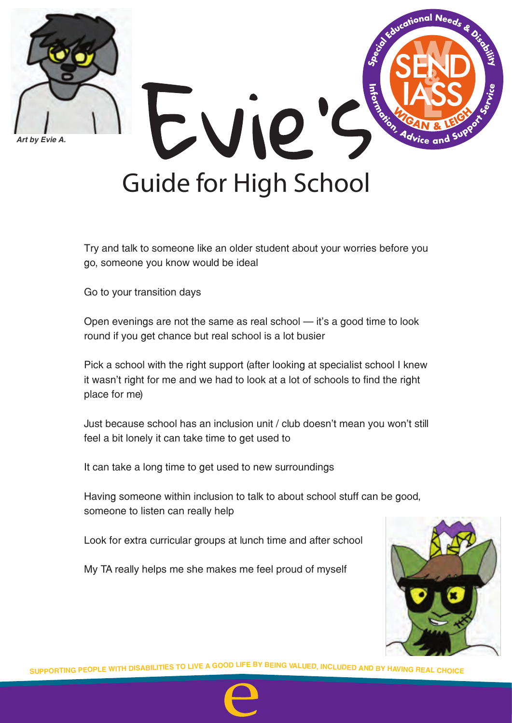



Try and talk to someone like an older student about your worries before you go, someone you know would be ideal

Go to your transition days

Open evenings are not the same as real school  $-$  it's a good time to look round if you get chance but real school is a lot busier

Pick a school with the right support (after looking at specialist school I knew it wasn't right for me and we had to look at a lot of schools to find the right place for me)

Just because school has an inclusion unit / club doesn't mean you won't still feel a bit lonely it can take time to get used to

It can take a long time to get used to new surroundings

Having someone within inclusion to talk to about school stuff can be good, someone to listen can really help

Look for extra curricular groups at lunch time and after school

My TA really helps me she makes me feel proud of myself



SUPPORTING PEOPLE WITH DISABILITIES TO LIVE A GOOD LIFE BY BEING VALUED, INCLUDED AND BY HAVING REAL CHOICE